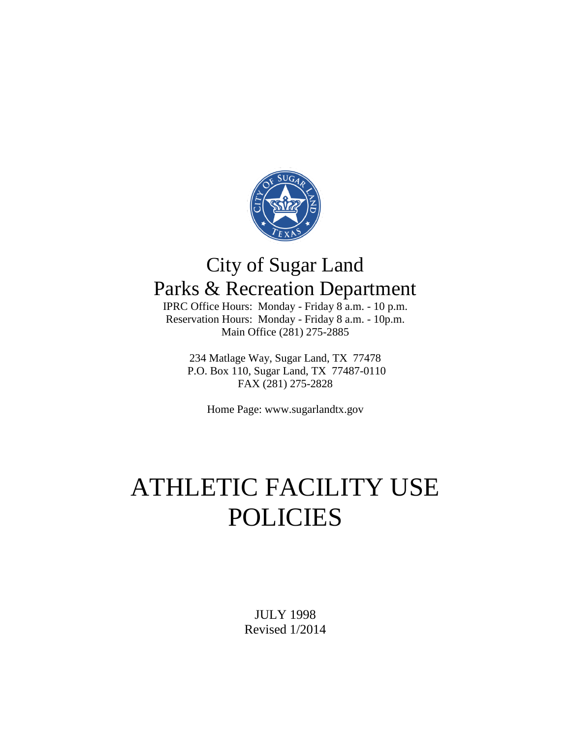

## City of Sugar Land Parks & Recreation Department

IPRC Office Hours: Monday - Friday 8 a.m. - 10 p.m. Reservation Hours: Monday - Friday 8 a.m. - 10p.m. Main Office (281) 275-2885

234 Matlage Way, Sugar Land, TX 77478 P.O. Box 110, Sugar Land, TX 77487-0110 FAX (281) 275-2828

Home Page: www.sugarlandtx.gov

# ATHLETIC FACILITY USE POLICIES

JULY 1998 Revised 1/2014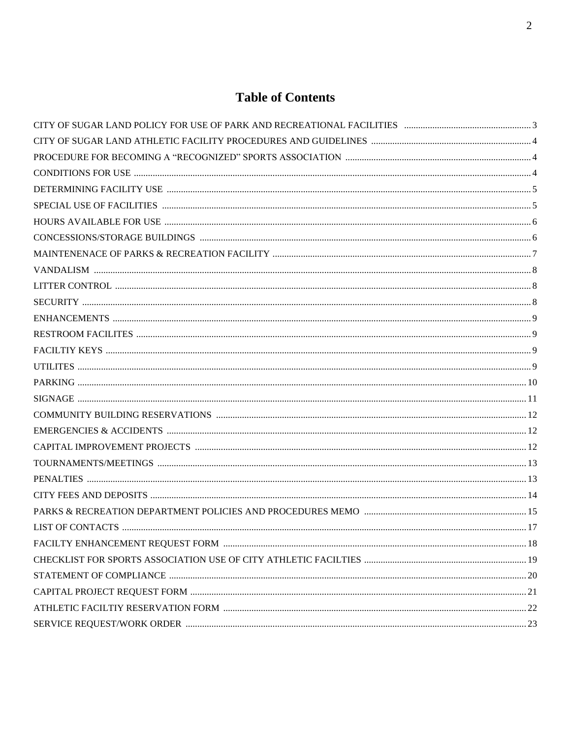## **Table of Contents**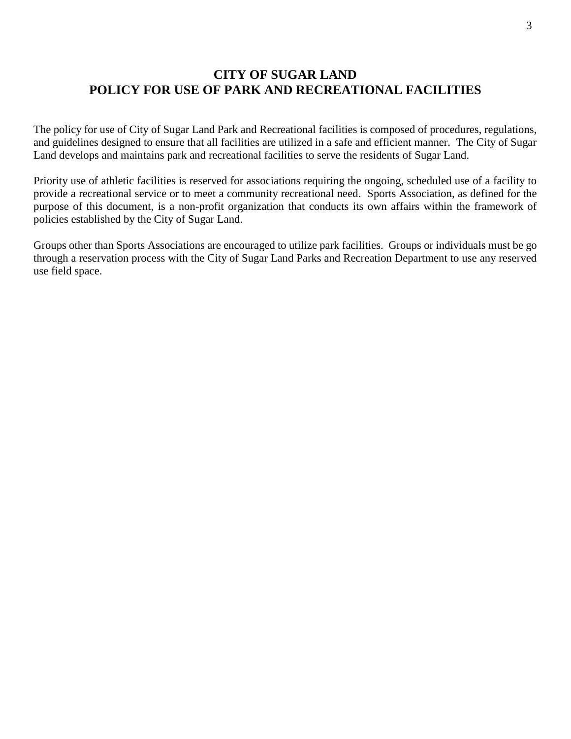## **CITY OF SUGAR LAND POLICY FOR USE OF PARK AND RECREATIONAL FACILITIES**

The policy for use of City of Sugar Land Park and Recreational facilities is composed of procedures, regulations, and guidelines designed to ensure that all facilities are utilized in a safe and efficient manner. The City of Sugar Land develops and maintains park and recreational facilities to serve the residents of Sugar Land.

Priority use of athletic facilities is reserved for associations requiring the ongoing, scheduled use of a facility to provide a recreational service or to meet a community recreational need. Sports Association, as defined for the purpose of this document, is a non-profit organization that conducts its own affairs within the framework of policies established by the City of Sugar Land.

Groups other than Sports Associations are encouraged to utilize park facilities. Groups or individuals must be go through a reservation process with the City of Sugar Land Parks and Recreation Department to use any reserved use field space.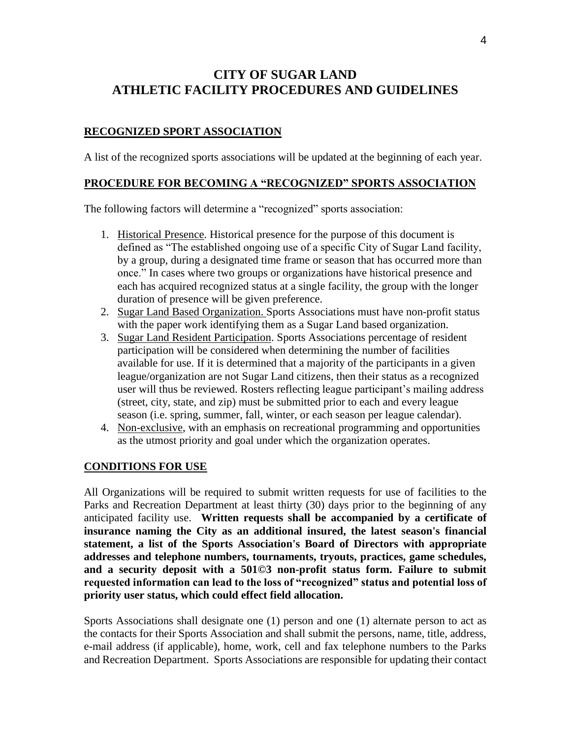## **CITY OF SUGAR LAND ATHLETIC FACILITY PROCEDURES AND GUIDELINES**

#### **RECOGNIZED SPORT ASSOCIATION**

A list of the recognized sports associations will be updated at the beginning of each year.

#### **PROCEDURE FOR BECOMING A "RECOGNIZED" SPORTS ASSOCIATION**

The following factors will determine a "recognized" sports association:

- 1. Historical Presence. Historical presence for the purpose of this document is defined as "The established ongoing use of a specific City of Sugar Land facility, by a group, during a designated time frame or season that has occurred more than once." In cases where two groups or organizations have historical presence and each has acquired recognized status at a single facility, the group with the longer duration of presence will be given preference.
- 2. Sugar Land Based Organization. Sports Associations must have non-profit status with the paper work identifying them as a Sugar Land based organization.
- 3. Sugar Land Resident Participation. Sports Associations percentage of resident participation will be considered when determining the number of facilities available for use. If it is determined that a majority of the participants in a given league/organization are not Sugar Land citizens, then their status as a recognized user will thus be reviewed. Rosters reflecting league participant's mailing address (street, city, state, and zip) must be submitted prior to each and every league season (i.e. spring, summer, fall, winter, or each season per league calendar).
- 4. Non-exclusive, with an emphasis on recreational programming and opportunities as the utmost priority and goal under which the organization operates.

#### **CONDITIONS FOR USE**

All Organizations will be required to submit written requests for use of facilities to the Parks and Recreation Department at least thirty (30) days prior to the beginning of any anticipated facility use. **Written requests shall be accompanied by a certificate of insurance naming the City as an additional insured, the latest season's financial statement, a list of the Sports Association's Board of Directors with appropriate addresses and telephone numbers, tournaments, tryouts, practices, game schedules, and a security deposit with a 501©3 non-profit status form. Failure to submit requested information can lead to the loss of "recognized" status and potential loss of priority user status, which could effect field allocation.**

Sports Associations shall designate one (1) person and one (1) alternate person to act as the contacts for their Sports Association and shall submit the persons, name, title, address, e-mail address (if applicable), home, work, cell and fax telephone numbers to the Parks and Recreation Department. Sports Associations are responsible for updating their contact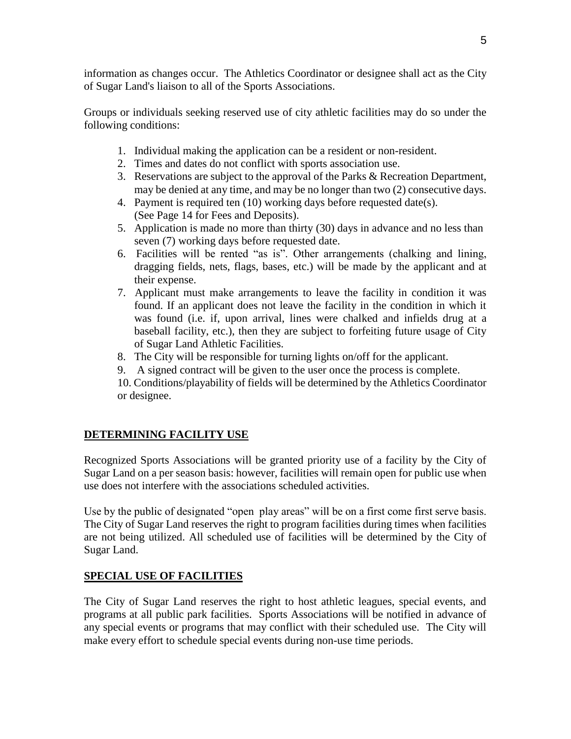information as changes occur. The Athletics Coordinator or designee shall act as the City of Sugar Land's liaison to all of the Sports Associations.

Groups or individuals seeking reserved use of city athletic facilities may do so under the following conditions:

- 1. Individual making the application can be a resident or non-resident.
- 2. Times and dates do not conflict with sports association use.
- 3. Reservations are subject to the approval of the Parks & Recreation Department, may be denied at any time, and may be no longer than two (2) consecutive days.
- 4. Payment is required ten (10) working days before requested date(s). (See Page 14 for Fees and Deposits).
- 5. Application is made no more than thirty (30) days in advance and no less than seven (7) working days before requested date.
- 6. Facilities will be rented "as is". Other arrangements (chalking and lining, dragging fields, nets, flags, bases, etc.) will be made by the applicant and at their expense.
- 7. Applicant must make arrangements to leave the facility in condition it was found. If an applicant does not leave the facility in the condition in which it was found (i.e. if, upon arrival, lines were chalked and infields drug at a baseball facility, etc.), then they are subject to forfeiting future usage of City of Sugar Land Athletic Facilities.
- 8. The City will be responsible for turning lights on/off for the applicant.
- 9. A signed contract will be given to the user once the process is complete.

10. Conditions/playability of fields will be determined by the Athletics Coordinator or designee.

#### **DETERMINING FACILITY USE**

Recognized Sports Associations will be granted priority use of a facility by the City of Sugar Land on a per season basis: however, facilities will remain open for public use when use does not interfere with the associations scheduled activities.

Use by the public of designated "open play areas" will be on a first come first serve basis. The City of Sugar Land reserves the right to program facilities during times when facilities are not being utilized. All scheduled use of facilities will be determined by the City of Sugar Land.

#### **SPECIAL USE OF FACILITIES**

The City of Sugar Land reserves the right to host athletic leagues, special events, and programs at all public park facilities. Sports Associations will be notified in advance of any special events or programs that may conflict with their scheduled use. The City will make every effort to schedule special events during non-use time periods.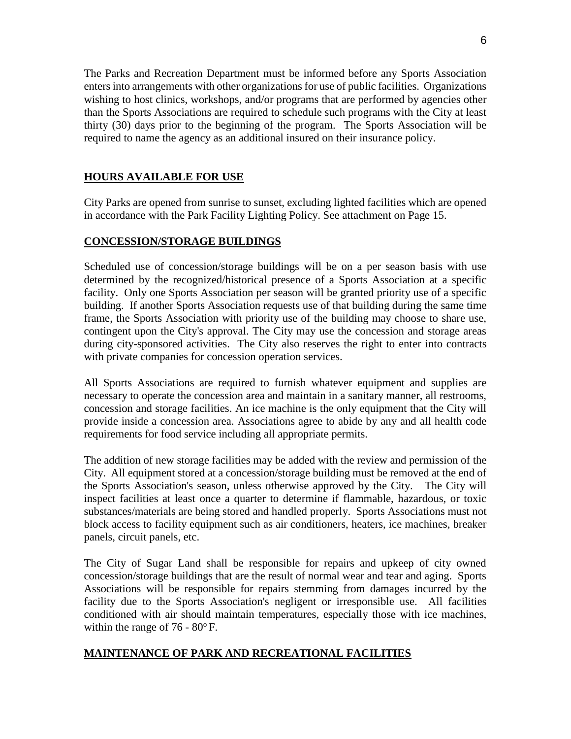The Parks and Recreation Department must be informed before any Sports Association enters into arrangements with other organizations for use of public facilities. Organizations wishing to host clinics, workshops, and/or programs that are performed by agencies other than the Sports Associations are required to schedule such programs with the City at least thirty (30) days prior to the beginning of the program. The Sports Association will be required to name the agency as an additional insured on their insurance policy.

#### **HOURS AVAILABLE FOR USE**

City Parks are opened from sunrise to sunset, excluding lighted facilities which are opened in accordance with the Park Facility Lighting Policy. See attachment on Page 15.

#### **CONCESSION/STORAGE BUILDINGS**

Scheduled use of concession/storage buildings will be on a per season basis with use determined by the recognized/historical presence of a Sports Association at a specific facility. Only one Sports Association per season will be granted priority use of a specific building. If another Sports Association requests use of that building during the same time frame, the Sports Association with priority use of the building may choose to share use, contingent upon the City's approval. The City may use the concession and storage areas during city-sponsored activities. The City also reserves the right to enter into contracts with private companies for concession operation services.

All Sports Associations are required to furnish whatever equipment and supplies are necessary to operate the concession area and maintain in a sanitary manner, all restrooms, concession and storage facilities. An ice machine is the only equipment that the City will provide inside a concession area. Associations agree to abide by any and all health code requirements for food service including all appropriate permits.

The addition of new storage facilities may be added with the review and permission of the City. All equipment stored at a concession/storage building must be removed at the end of the Sports Association's season, unless otherwise approved by the City. The City will inspect facilities at least once a quarter to determine if flammable, hazardous, or toxic substances/materials are being stored and handled properly. Sports Associations must not block access to facility equipment such as air conditioners, heaters, ice machines, breaker panels, circuit panels, etc.

The City of Sugar Land shall be responsible for repairs and upkeep of city owned concession/storage buildings that are the result of normal wear and tear and aging. Sports Associations will be responsible for repairs stemming from damages incurred by the facility due to the Sports Association's negligent or irresponsible use. All facilities conditioned with air should maintain temperatures, especially those with ice machines, within the range of  $76 - 80^{\circ}$  F.

#### **MAINTENANCE OF PARK AND RECREATIONAL FACILITIES**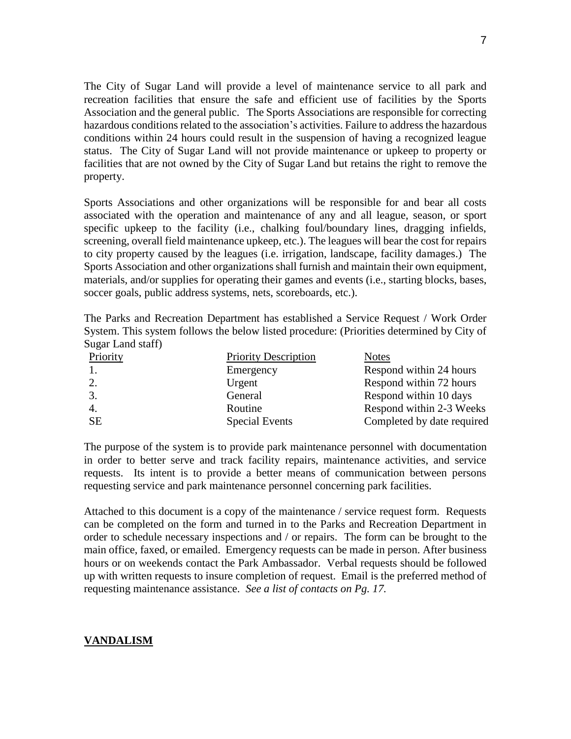The City of Sugar Land will provide a level of maintenance service to all park and recreation facilities that ensure the safe and efficient use of facilities by the Sports Association and the general public. The Sports Associations are responsible for correcting hazardous conditions related to the association's activities. Failure to address the hazardous conditions within 24 hours could result in the suspension of having a recognized league status. The City of Sugar Land will not provide maintenance or upkeep to property or facilities that are not owned by the City of Sugar Land but retains the right to remove the property.

Sports Associations and other organizations will be responsible for and bear all costs associated with the operation and maintenance of any and all league, season, or sport specific upkeep to the facility (i.e., chalking foul/boundary lines, dragging infields, screening, overall field maintenance upkeep, etc.). The leagues will bear the cost for repairs to city property caused by the leagues (i.e. irrigation, landscape, facility damages.) The Sports Association and other organizations shall furnish and maintain their own equipment, materials, and/or supplies for operating their games and events (i.e., starting blocks, bases, soccer goals, public address systems, nets, scoreboards, etc.).

The Parks and Recreation Department has established a Service Request / Work Order System. This system follows the below listed procedure: (Priorities determined by City of Sugar Land staff)

| Priority         | <b>Priority Description</b> | <b>Notes</b>               |
|------------------|-----------------------------|----------------------------|
| $\overline{1}$ . | Emergency                   | Respond within 24 hours    |
| 2.               | Urgent                      | Respond within 72 hours    |
| 3.               | General                     | Respond within 10 days     |
| $\overline{4}$ . | Routine                     | Respond within 2-3 Weeks   |
| <b>SE</b>        | <b>Special Events</b>       | Completed by date required |

The purpose of the system is to provide park maintenance personnel with documentation in order to better serve and track facility repairs, maintenance activities, and service requests. Its intent is to provide a better means of communication between persons requesting service and park maintenance personnel concerning park facilities.

Attached to this document is a copy of the maintenance / service request form. Requests can be completed on the form and turned in to the Parks and Recreation Department in order to schedule necessary inspections and / or repairs. The form can be brought to the main office, faxed, or emailed. Emergency requests can be made in person. After business hours or on weekends contact the Park Ambassador. Verbal requests should be followed up with written requests to insure completion of request. Email is the preferred method of requesting maintenance assistance. *See a list of contacts on Pg. 17.*

#### **VANDALISM**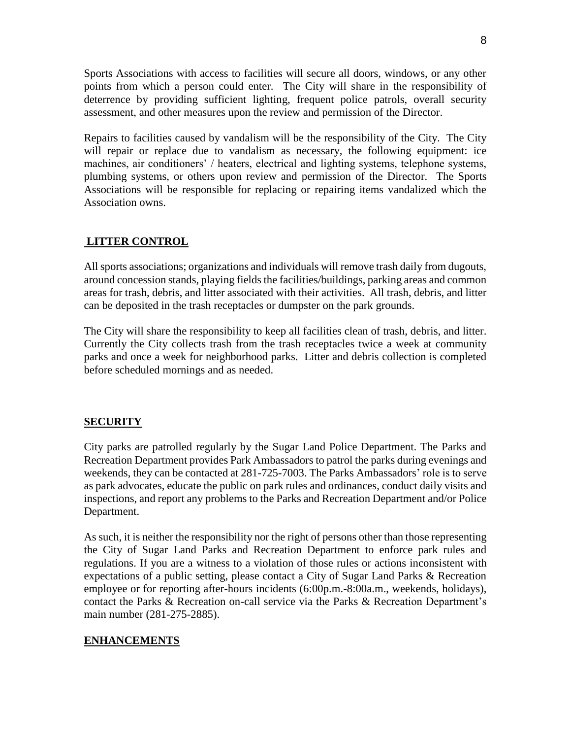Sports Associations with access to facilities will secure all doors, windows, or any other points from which a person could enter. The City will share in the responsibility of deterrence by providing sufficient lighting, frequent police patrols, overall security assessment, and other measures upon the review and permission of the Director.

Repairs to facilities caused by vandalism will be the responsibility of the City. The City will repair or replace due to vandalism as necessary, the following equipment: ice machines, air conditioners' / heaters, electrical and lighting systems, telephone systems, plumbing systems, or others upon review and permission of the Director. The Sports Associations will be responsible for replacing or repairing items vandalized which the Association owns.

#### **LITTER CONTROL**

All sports associations; organizations and individuals will remove trash daily from dugouts, around concession stands, playing fields the facilities/buildings, parking areas and common areas for trash, debris, and litter associated with their activities. All trash, debris, and litter can be deposited in the trash receptacles or dumpster on the park grounds.

The City will share the responsibility to keep all facilities clean of trash, debris, and litter. Currently the City collects trash from the trash receptacles twice a week at community parks and once a week for neighborhood parks. Litter and debris collection is completed before scheduled mornings and as needed.

#### **SECURITY**

City parks are patrolled regularly by the Sugar Land Police Department. The Parks and Recreation Department provides Park Ambassadors to patrol the parks during evenings and weekends, they can be contacted at 281-725-7003. The Parks Ambassadors' role is to serve as park advocates, educate the public on park rules and ordinances, conduct daily visits and inspections, and report any problems to the Parks and Recreation Department and/or Police Department.

As such, it is neither the responsibility nor the right of persons other than those representing the City of Sugar Land Parks and Recreation Department to enforce park rules and regulations. If you are a witness to a violation of those rules or actions inconsistent with expectations of a public setting, please contact a City of Sugar Land Parks & Recreation employee or for reporting after-hours incidents (6:00p.m.-8:00a.m., weekends, holidays), contact the Parks & Recreation on-call service via the Parks & Recreation Department's main number (281-275-2885).

#### **ENHANCEMENTS**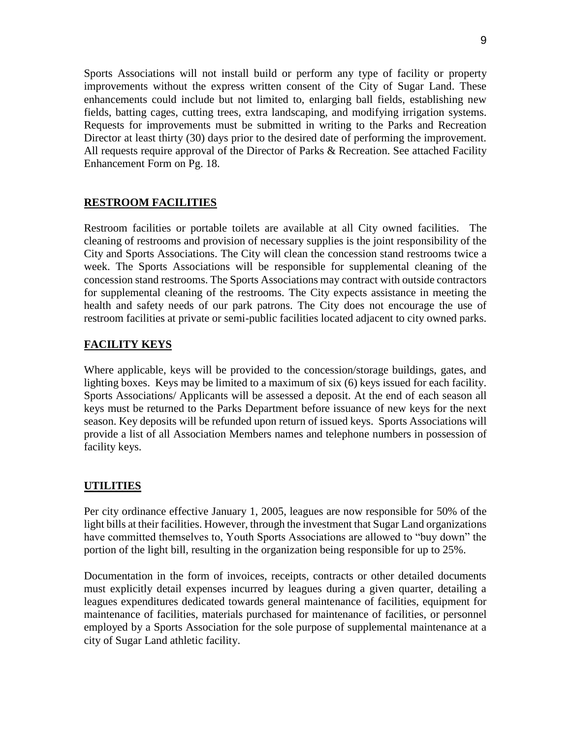Sports Associations will not install build or perform any type of facility or property improvements without the express written consent of the City of Sugar Land. These enhancements could include but not limited to, enlarging ball fields, establishing new fields, batting cages, cutting trees, extra landscaping, and modifying irrigation systems. Requests for improvements must be submitted in writing to the Parks and Recreation Director at least thirty (30) days prior to the desired date of performing the improvement. All requests require approval of the Director of Parks & Recreation. See attached Facility Enhancement Form on Pg. 18.

#### **RESTROOM FACILITIES**

Restroom facilities or portable toilets are available at all City owned facilities. The cleaning of restrooms and provision of necessary supplies is the joint responsibility of the City and Sports Associations. The City will clean the concession stand restrooms twice a week. The Sports Associations will be responsible for supplemental cleaning of the concession stand restrooms. The Sports Associations may contract with outside contractors for supplemental cleaning of the restrooms*.* The City expects assistance in meeting the health and safety needs of our park patrons. The City does not encourage the use of restroom facilities at private or semi-public facilities located adjacent to city owned parks.

#### **FACILITY KEYS**

Where applicable, keys will be provided to the concession/storage buildings, gates, and lighting boxes. Keys may be limited to a maximum of six (6) keys issued for each facility. Sports Associations/ Applicants will be assessed a deposit. At the end of each season all keys must be returned to the Parks Department before issuance of new keys for the next season. Key deposits will be refunded upon return of issued keys. Sports Associations will provide a list of all Association Members names and telephone numbers in possession of facility keys.

#### **UTILITIES**

Per city ordinance effective January 1, 2005, leagues are now responsible for 50% of the light bills at their facilities. However, through the investment that Sugar Land organizations have committed themselves to, Youth Sports Associations are allowed to "buy down" the portion of the light bill, resulting in the organization being responsible for up to 25%.

Documentation in the form of invoices, receipts, contracts or other detailed documents must explicitly detail expenses incurred by leagues during a given quarter, detailing a leagues expenditures dedicated towards general maintenance of facilities, equipment for maintenance of facilities, materials purchased for maintenance of facilities, or personnel employed by a Sports Association for the sole purpose of supplemental maintenance at a city of Sugar Land athletic facility.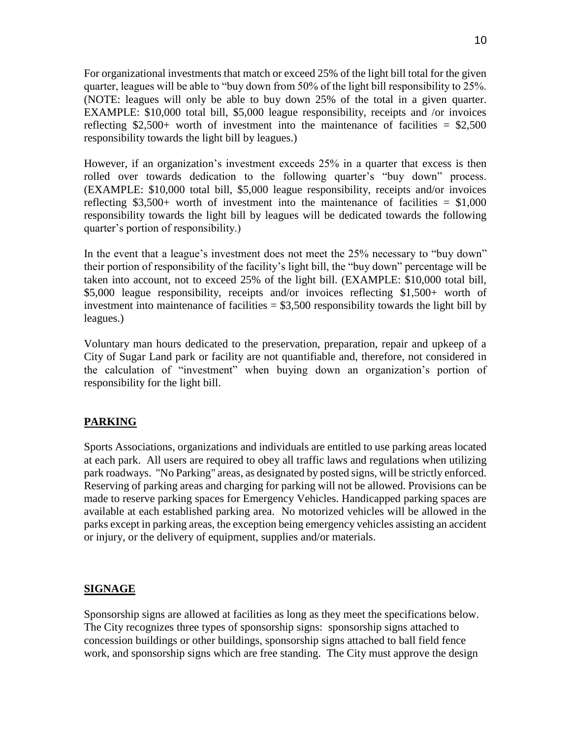For organizational investments that match or exceed 25% of the light bill total for the given quarter, leagues will be able to "buy down from 50% of the light bill responsibility to 25%. (NOTE: leagues will only be able to buy down 25% of the total in a given quarter. EXAMPLE: \$10,000 total bill, \$5,000 league responsibility, receipts and /or invoices reflecting  $$2,500+$  worth of investment into the maintenance of facilities =  $$2,500$ responsibility towards the light bill by leagues.)

However, if an organization's investment exceeds 25% in a quarter that excess is then rolled over towards dedication to the following quarter's "buy down" process. (EXAMPLE: \$10,000 total bill, \$5,000 league responsibility, receipts and/or invoices reflecting  $$3,500+$  worth of investment into the maintenance of facilities = \$1,000 responsibility towards the light bill by leagues will be dedicated towards the following quarter's portion of responsibility.)

In the event that a league's investment does not meet the 25% necessary to "buy down" their portion of responsibility of the facility's light bill, the "buy down" percentage will be taken into account, not to exceed 25% of the light bill. (EXAMPLE: \$10,000 total bill, \$5,000 league responsibility, receipts and/or invoices reflecting \$1,500+ worth of investment into maintenance of facilities  $=$  \$3,500 responsibility towards the light bill by leagues.)

Voluntary man hours dedicated to the preservation, preparation, repair and upkeep of a City of Sugar Land park or facility are not quantifiable and, therefore, not considered in the calculation of "investment" when buying down an organization's portion of responsibility for the light bill.

#### **PARKING**

Sports Associations, organizations and individuals are entitled to use parking areas located at each park. All users are required to obey all traffic laws and regulations when utilizing park roadways. "No Parking" areas, as designated by posted signs, will be strictly enforced. Reserving of parking areas and charging for parking will not be allowed. Provisions can be made to reserve parking spaces for Emergency Vehicles. Handicapped parking spaces are available at each established parking area. No motorized vehicles will be allowed in the parks except in parking areas, the exception being emergency vehicles assisting an accident or injury, or the delivery of equipment, supplies and/or materials.

#### **SIGNAGE**

Sponsorship signs are allowed at facilities as long as they meet the specifications below. The City recognizes three types of sponsorship signs: sponsorship signs attached to concession buildings or other buildings, sponsorship signs attached to ball field fence work, and sponsorship signs which are free standing. The City must approve the design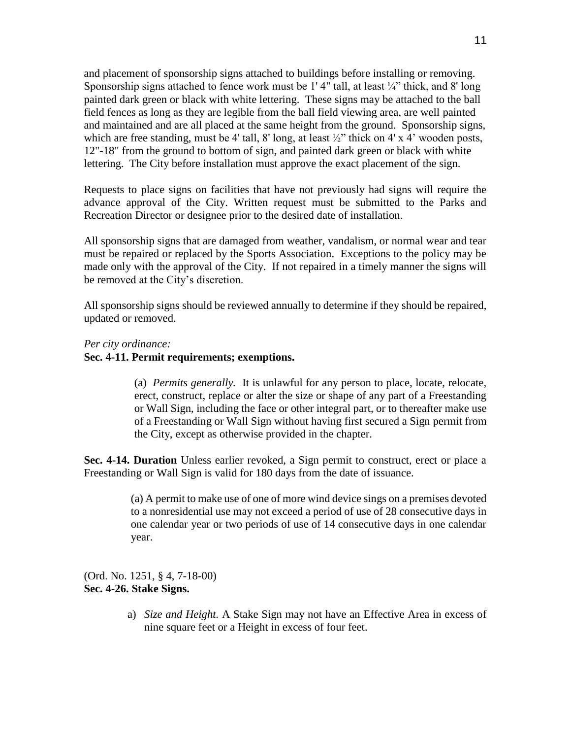and placement of sponsorship signs attached to buildings before installing or removing. Sponsorship signs attached to fence work must be 1'4" tall, at least ¼" thick, and 8' long painted dark green or black with white lettering. These signs may be attached to the ball field fences as long as they are legible from the ball field viewing area, are well painted and maintained and are all placed at the same height from the ground. Sponsorship signs, which are free standing, must be 4' tall, 8' long, at least  $\frac{1}{2}$ " thick on 4' x 4' wooden posts, 12"-18" from the ground to bottom of sign, and painted dark green or black with white lettering. The City before installation must approve the exact placement of the sign.

Requests to place signs on facilities that have not previously had signs will require the advance approval of the City. Written request must be submitted to the Parks and Recreation Director or designee prior to the desired date of installation.

All sponsorship signs that are damaged from weather, vandalism, or normal wear and tear must be repaired or replaced by the Sports Association. Exceptions to the policy may be made only with the approval of the City. If not repaired in a timely manner the signs will be removed at the City's discretion.

All sponsorship signs should be reviewed annually to determine if they should be repaired, updated or removed.

*Per city ordinance:*

#### **Sec. 4-11. Permit requirements; exemptions.**

(a) *Permits generally.* It is unlawful for any person to place, locate, relocate, erect, construct, replace or alter the size or shape of any part of a Freestanding or Wall Sign, including the face or other integral part, or to thereafter make use of a Freestanding or Wall Sign without having first secured a Sign permit from the City, except as otherwise provided in the chapter.

**Sec. 4-14. Duration** Unless earlier revoked, a Sign permit to construct, erect or place a Freestanding or Wall Sign is valid for 180 days from the date of issuance.

> (a) A permit to make use of one of more wind device sings on a premises devoted to a nonresidential use may not exceed a period of use of 28 consecutive days in one calendar year or two periods of use of 14 consecutive days in one calendar year.

(Ord. No. 1251, § 4, 7-18-00) **Sec. 4-26. Stake Signs.**

> a) *Size and Height.* A Stake Sign may not have an Effective Area in excess of nine square feet or a Height in excess of four feet.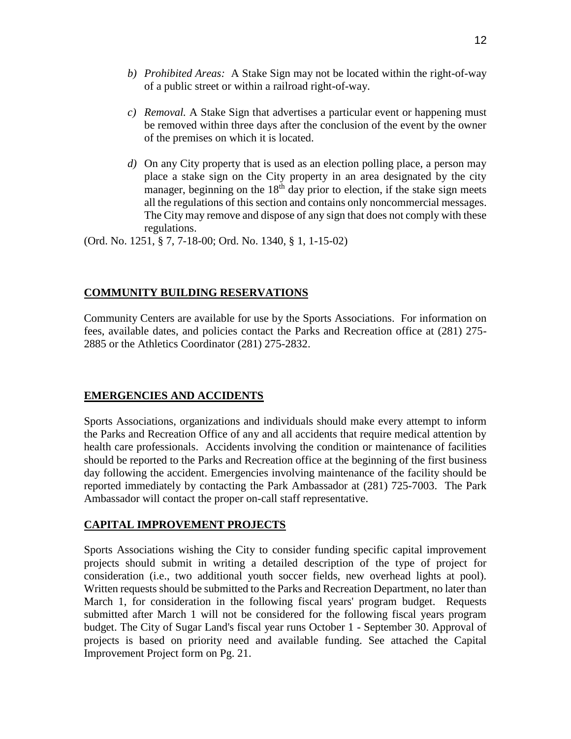- *b) Prohibited Areas:* A Stake Sign may not be located within the right-of-way of a public street or within a railroad right-of-way.
- *c) Removal.* A Stake Sign that advertises a particular event or happening must be removed within three days after the conclusion of the event by the owner of the premises on which it is located.
- *d)* On any City property that is used as an election polling place, a person may place a stake sign on the City property in an area designated by the city manager, beginning on the  $18<sup>th</sup>$  day prior to election, if the stake sign meets all the regulations of this section and contains only noncommercial messages. The City may remove and dispose of any sign that does not comply with these regulations.

(Ord. No. 1251, § 7, 7-18-00; Ord. No. 1340, § 1, 1-15-02)

#### **COMMUNITY BUILDING RESERVATIONS**

Community Centers are available for use by the Sports Associations. For information on fees, available dates, and policies contact the Parks and Recreation office at (281) 275- 2885 or the Athletics Coordinator (281) 275-2832.

#### **EMERGENCIES AND ACCIDENTS**

Sports Associations, organizations and individuals should make every attempt to inform the Parks and Recreation Office of any and all accidents that require medical attention by health care professionals. Accidents involving the condition or maintenance of facilities should be reported to the Parks and Recreation office at the beginning of the first business day following the accident. Emergencies involving maintenance of the facility should be reported immediately by contacting the Park Ambassador at (281) 725-7003. The Park Ambassador will contact the proper on-call staff representative.

#### **CAPITAL IMPROVEMENT PROJECTS**

Sports Associations wishing the City to consider funding specific capital improvement projects should submit in writing a detailed description of the type of project for consideration (i.e., two additional youth soccer fields, new overhead lights at pool). Written requests should be submitted to the Parks and Recreation Department, no later than March 1, for consideration in the following fiscal years' program budget. Requests submitted after March 1 will not be considered for the following fiscal years program budget. The City of Sugar Land's fiscal year runs October 1 - September 30. Approval of projects is based on priority need and available funding. See attached the Capital Improvement Project form on Pg. 21.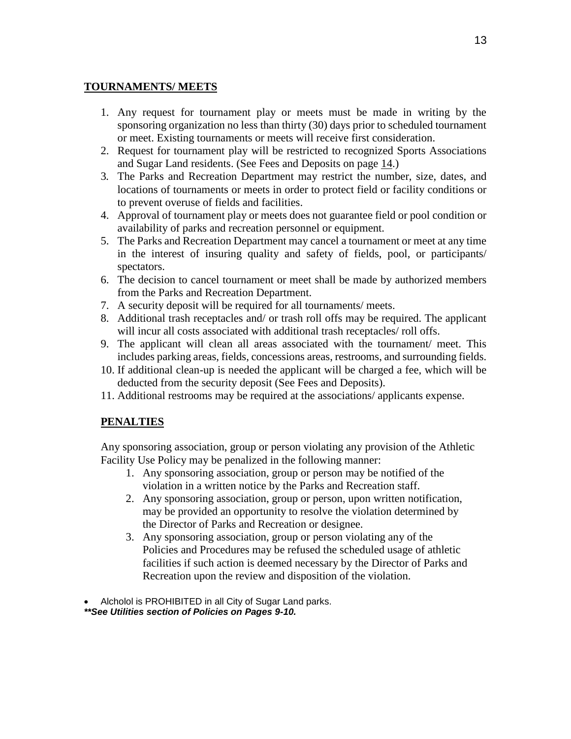#### **TOURNAMENTS/ MEETS**

- 1. Any request for tournament play or meets must be made in writing by the sponsoring organization no less than thirty (30) days prior to scheduled tournament or meet. Existing tournaments or meets will receive first consideration.
- 2. Request for tournament play will be restricted to recognized Sports Associations and Sugar Land residents. (See Fees and Deposits on page 14.)
- 3*.* The Parks and Recreation Department may restrict the number, size, dates, and locations of tournaments or meets in order to protect field or facility conditions or to prevent overuse of fields and facilities.
- 4. Approval of tournament play or meets does not guarantee field or pool condition or availability of parks and recreation personnel or equipment.
- 5. The Parks and Recreation Department may cancel a tournament or meet at any time in the interest of insuring quality and safety of fields, pool, or participants/ spectators.
- 6. The decision to cancel tournament or meet shall be made by authorized members from the Parks and Recreation Department.
- 7. A security deposit will be required for all tournaments/ meets.
- 8. Additional trash receptacles and/ or trash roll offs may be required. The applicant will incur all costs associated with additional trash receptacles/ roll offs.
- 9. The applicant will clean all areas associated with the tournament/ meet. This includes parking areas, fields, concessions areas, restrooms, and surrounding fields.
- 10. If additional clean-up is needed the applicant will be charged a fee, which will be deducted from the security deposit (See Fees and Deposits).
- 11. Additional restrooms may be required at the associations/ applicants expense.

#### **PENALTIES**

Any sponsoring association, group or person violating any provision of the Athletic Facility Use Policy may be penalized in the following manner:

- 1. Any sponsoring association, group or person may be notified of the violation in a written notice by the Parks and Recreation staff.
- 2. Any sponsoring association, group or person, upon written notification, may be provided an opportunity to resolve the violation determined by the Director of Parks and Recreation or designee.
- 3. Any sponsoring association, group or person violating any of the Policies and Procedures may be refused the scheduled usage of athletic facilities if such action is deemed necessary by the Director of Parks and Recreation upon the review and disposition of the violation.

Alcholol is PROHIBITED in all City of Sugar Land parks.

*\*\*See Utilities section of Policies on Pages 9-10.*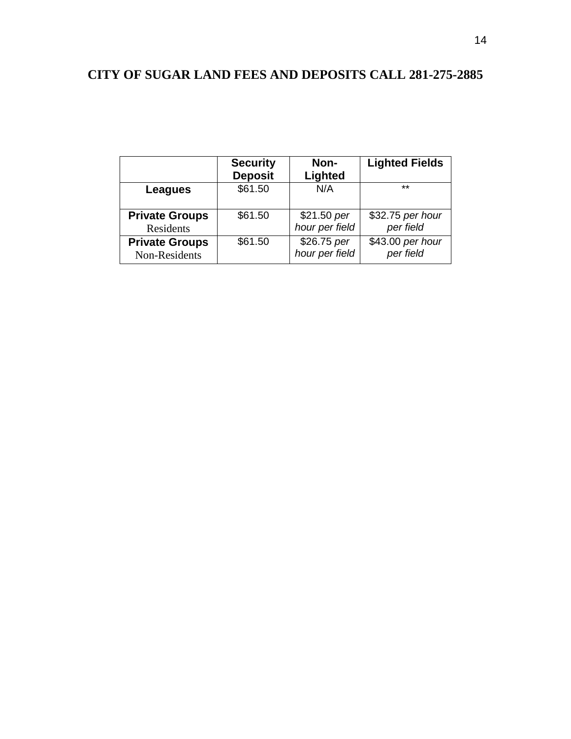## **CITY OF SUGAR LAND FEES AND DEPOSITS CALL 281-275-2885**

|                       | <b>Security</b><br><b>Deposit</b> | Non-<br>Lighted | <b>Lighted Fields</b> |
|-----------------------|-----------------------------------|-----------------|-----------------------|
| Leagues               | \$61.50                           | N/A             | $***$                 |
| <b>Private Groups</b> | \$61.50                           | \$21.50 per     | \$32.75 per hour      |
| Residents             |                                   | hour per field  | per field             |
| <b>Private Groups</b> | \$61.50                           | \$26.75 per     | \$43.00 per hour      |
| Non-Residents         |                                   | hour per field  | per field             |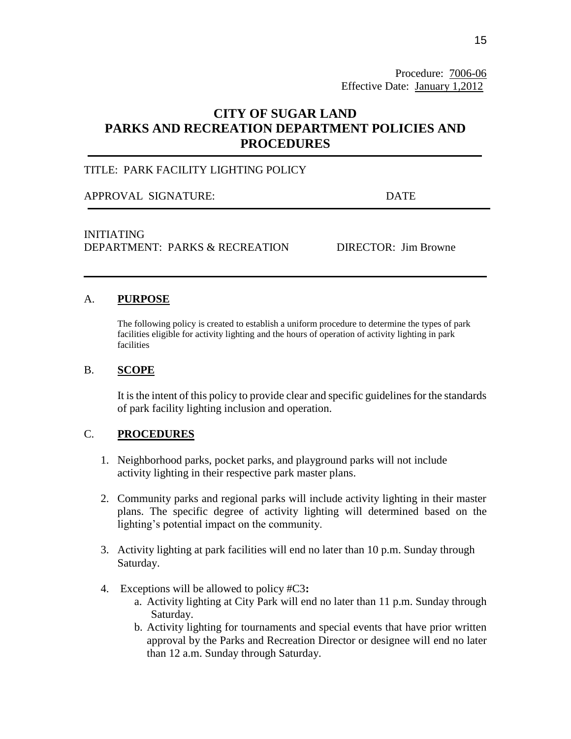Procedure: 7006-06 Effective Date: January 1,2012

## **CITY OF SUGAR LAND PARKS AND RECREATION DEPARTMENT POLICIES AND PROCEDURES**

#### TITLE: PARK FACILITY LIGHTING POLICY

APPROVAL SIGNATURE: DATE

#### INITIATING DEPARTMENT: PARKS & RECREATION DIRECTOR: Jim Browne

#### A. **PURPOSE**

The following policy is created to establish a uniform procedure to determine the types of park facilities eligible for activity lighting and the hours of operation of activity lighting in park facilities

#### B. **SCOPE**

It is the intent of this policy to provide clear and specific guidelines for the standards of park facility lighting inclusion and operation.

#### C. **PROCEDURES**

- 1. Neighborhood parks, pocket parks, and playground parks will not include activity lighting in their respective park master plans.
- 2. Community parks and regional parks will include activity lighting in their master plans. The specific degree of activity lighting will determined based on the lighting's potential impact on the community.
- 3. Activity lighting at park facilities will end no later than 10 p.m. Sunday through Saturday.
- 4. Exceptions will be allowed to policy #C3**:**
	- a. Activity lighting at City Park will end no later than 11 p.m. Sunday through Saturday.
	- b. Activity lighting for tournaments and special events that have prior written approval by the Parks and Recreation Director or designee will end no later than 12 a.m. Sunday through Saturday.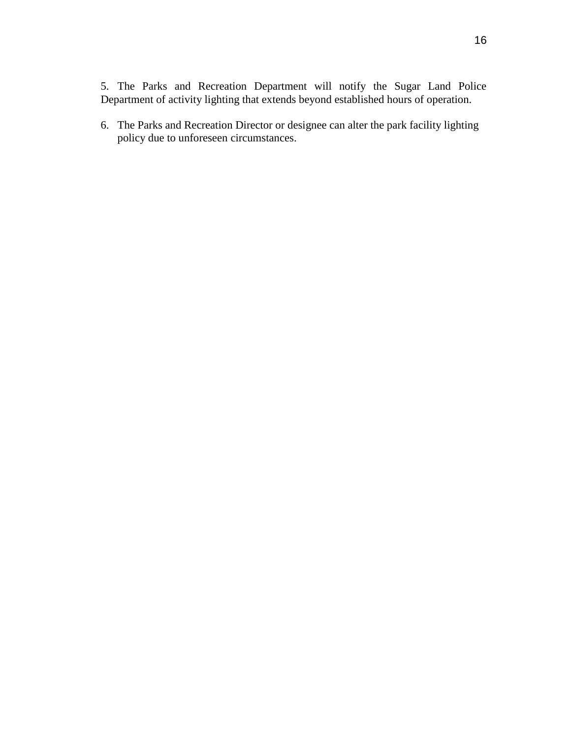5. The Parks and Recreation Department will notify the Sugar Land Police Department of activity lighting that extends beyond established hours of operation.

6. The Parks and Recreation Director or designee can alter the park facility lighting policy due to unforeseen circumstances.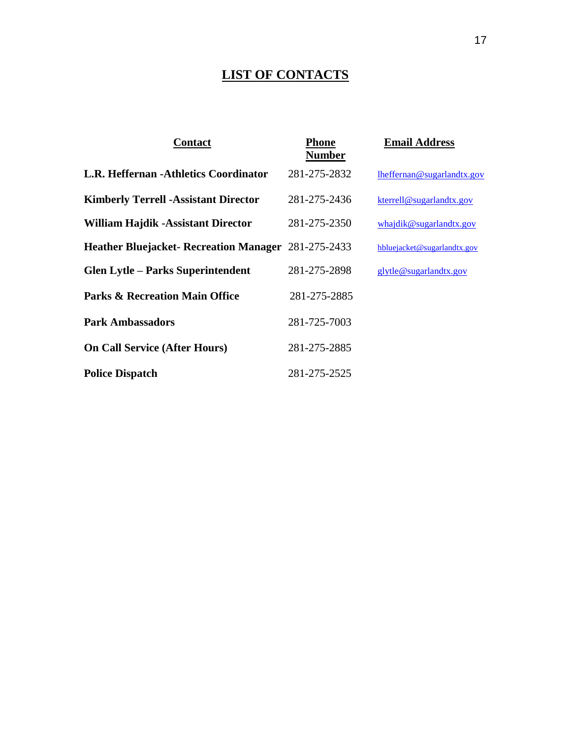## **LIST OF CONTACTS**

| <b>Contact</b>                                             | Phone<br><b>Number</b> | <b>Email Address</b>        |
|------------------------------------------------------------|------------------------|-----------------------------|
| L.R. Heffernan -Athletics Coordinator                      | 281-275-2832           | lheffernan@sugarlandtx.gov  |
| <b>Kimberly Terrell - Assistant Director</b>               | 281-275-2436           | kterrell@sugarlandtx.gov    |
| <b>William Hajdik -Assistant Director</b>                  | 281-275-2350           | whajdik@sugarlandtx.gov     |
| <b>Heather Bluejacket- Recreation Manager 281-275-2433</b> |                        | hbluejacket@sugarlandtx.gov |
| <b>Glen Lytle - Parks Superintendent</b>                   | 281-275-2898           | glytle@sugarlandtx.gov      |
| <b>Parks &amp; Recreation Main Office</b>                  | 281-275-2885           |                             |
| <b>Park Ambassadors</b>                                    | 281-725-7003           |                             |
| <b>On Call Service (After Hours)</b>                       | 281-275-2885           |                             |
| <b>Police Dispatch</b>                                     | 281-275-2525           |                             |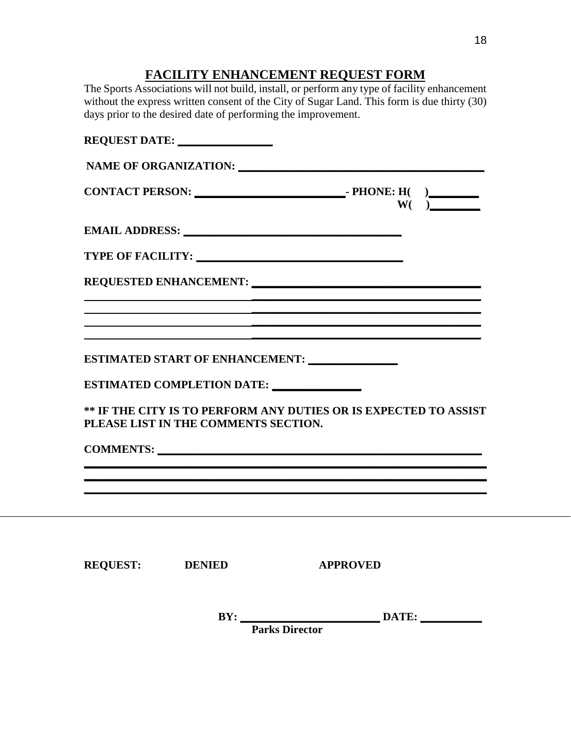## **FACILITY ENHANCEMENT REQUEST FORM**

The Sports Associations will not build, install, or perform any type of facility enhancement without the express written consent of the City of Sugar Land. This form is due thirty (30) days prior to the desired date of performing the improvement.

|                 | REQUEST DATE:                        |                                                                                                                                                                                                                                             |  |
|-----------------|--------------------------------------|---------------------------------------------------------------------------------------------------------------------------------------------------------------------------------------------------------------------------------------------|--|
|                 |                                      |                                                                                                                                                                                                                                             |  |
|                 |                                      |                                                                                                                                                                                                                                             |  |
|                 |                                      |                                                                                                                                                                                                                                             |  |
|                 |                                      |                                                                                                                                                                                                                                             |  |
|                 |                                      |                                                                                                                                                                                                                                             |  |
|                 |                                      | <u> 1989 - Andrea San Andrea San Andrea San Andrea San Andrea San Andrea San Andrea San Andrea San Andrea San An</u>                                                                                                                        |  |
|                 |                                      | <u> 1989 - Jan Salaman Salaman (j. 1989)</u>                                                                                                                                                                                                |  |
|                 |                                      |                                                                                                                                                                                                                                             |  |
|                 | ESTIMATED COMPLETION DATE:           |                                                                                                                                                                                                                                             |  |
|                 | PLEASE LIST IN THE COMMENTS SECTION. | ** IF THE CITY IS TO PERFORM ANY DUTIES OR IS EXPECTED TO ASSIST                                                                                                                                                                            |  |
|                 |                                      | COMMENTS:                                                                                                                                                                                                                                   |  |
|                 |                                      | <u> 1989 - Jan James James James James James James James James James James James James James James James James</u><br><u> 1989 - Johann Harry Harry Harry Harry Harry Harry Harry Harry Harry Harry Harry Harry Harry Harry Harry Harry</u> |  |
|                 |                                      |                                                                                                                                                                                                                                             |  |
|                 |                                      |                                                                                                                                                                                                                                             |  |
|                 |                                      |                                                                                                                                                                                                                                             |  |
| <b>REQUEST:</b> | <b>DENIED</b>                        | <b>APPROVED</b>                                                                                                                                                                                                                             |  |
|                 | BY:                                  | DATE:                                                                                                                                                                                                                                       |  |

 **Parks Director**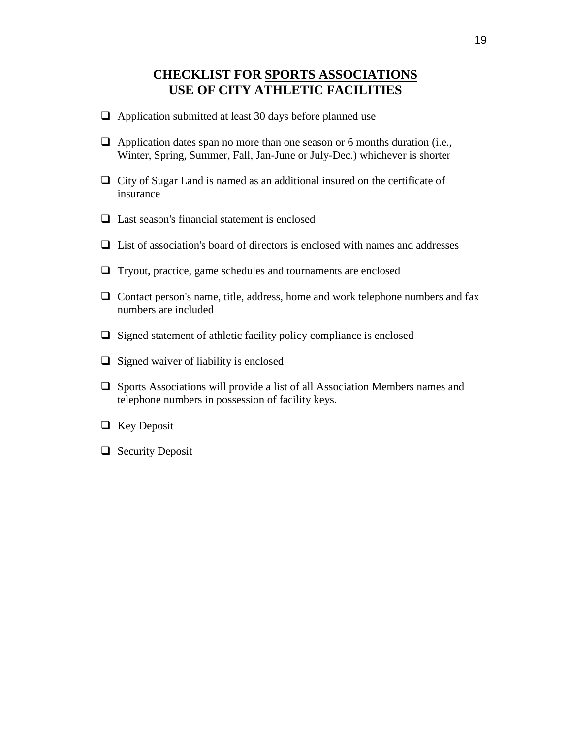#### **CHECKLIST FOR SPORTS ASSOCIATIONS USE OF CITY ATHLETIC FACILITIES**

- $\Box$  Application submitted at least 30 days before planned use
- $\Box$  Application dates span no more than one season or 6 months duration (i.e., Winter, Spring, Summer, Fall, Jan-June or July-Dec.) whichever is shorter
- $\Box$  City of Sugar Land is named as an additional insured on the certificate of insurance
- $\Box$  Last season's financial statement is enclosed
- $\Box$  List of association's board of directors is enclosed with names and addresses
- $\Box$  Tryout, practice, game schedules and tournaments are enclosed
- $\Box$  Contact person's name, title, address, home and work telephone numbers and fax numbers are included
- $\Box$  Signed statement of athletic facility policy compliance is enclosed
- $\Box$  Signed waiver of liability is enclosed
- $\Box$  Sports Associations will provide a list of all Association Members names and telephone numbers in possession of facility keys.
- $\Box$  Key Deposit
- $\Box$  Security Deposit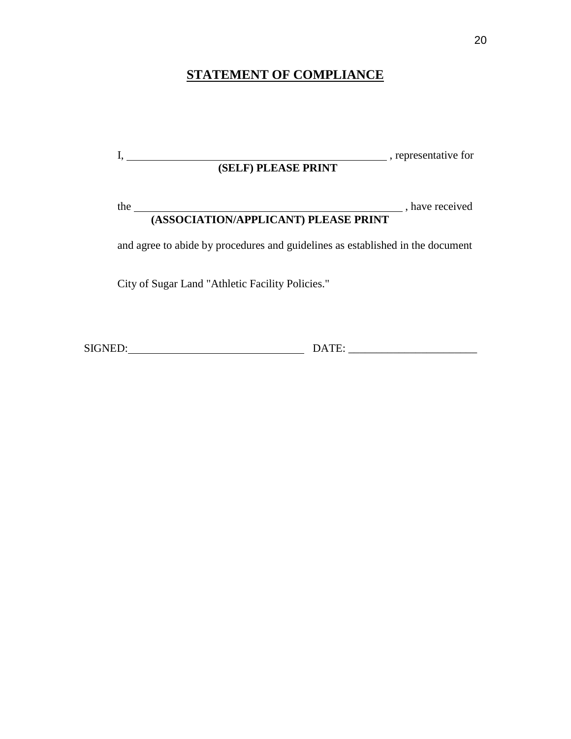## **STATEMENT OF COMPLIANCE**

| (SELF) PLEASE PRINT                                                            | , representative for |
|--------------------------------------------------------------------------------|----------------------|
| the<br>(ASSOCIATION/APPLICANT) PLEASE PRINT                                    | , have received      |
| and agree to abide by procedures and guidelines as established in the document |                      |
| City of Sugar Land "Athletic Facility Policies."                               |                      |
|                                                                                |                      |

SIGNED: DATE: \_\_\_\_\_\_\_\_\_\_\_\_\_\_\_\_\_\_\_\_\_\_\_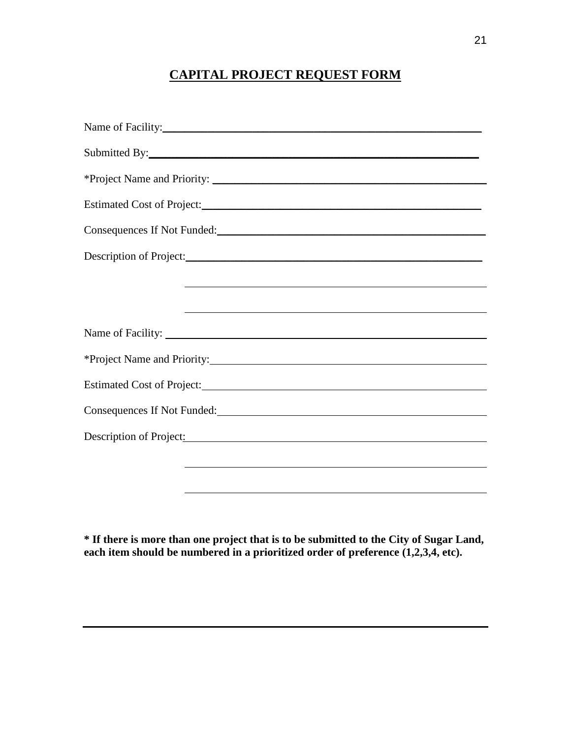## **CAPITAL PROJECT REQUEST FORM**

| Name of Facility:                                                                                                                                                                                                              |
|--------------------------------------------------------------------------------------------------------------------------------------------------------------------------------------------------------------------------------|
|                                                                                                                                                                                                                                |
|                                                                                                                                                                                                                                |
|                                                                                                                                                                                                                                |
| Consequences If Not Funded:<br><u> </u>                                                                                                                                                                                        |
|                                                                                                                                                                                                                                |
| and the control of the control of the control of the control of the control of the control of the control of the                                                                                                               |
|                                                                                                                                                                                                                                |
|                                                                                                                                                                                                                                |
| *Project Name and Priority:                                                                                                                                                                                                    |
| Estimated Cost of Project:                                                                                                                                                                                                     |
| Consequences If Not Funded:<br><u>Consequences</u> If Not Funded:                                                                                                                                                              |
| Description of Project: New York Changes and Security and Security and Security and Security and Security and Security and Security and Security and Security and Security and Security and Security and Security and Security |
|                                                                                                                                                                                                                                |
|                                                                                                                                                                                                                                |

**\* If there is more than one project that is to be submitted to the City of Sugar Land, each item should be numbered in a prioritized order of preference (1,2,3,4, etc).**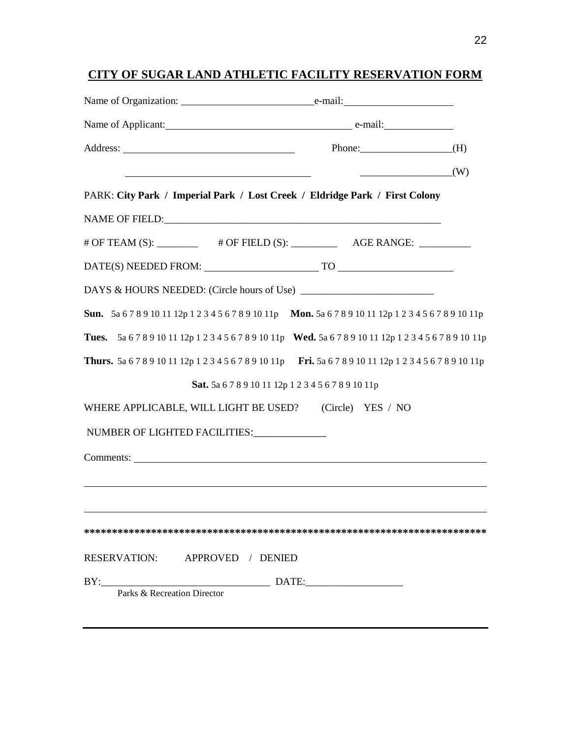## **CITY OF SUGAR LAND ATHLETIC FACILITY RESERVATION FORM**

| Name of Applicant: example and a contract e-mail:                                                                |                                        |  |
|------------------------------------------------------------------------------------------------------------------|----------------------------------------|--|
|                                                                                                                  | Phone: $(H)$                           |  |
| <u> 1980 - Jan Stein, amerikansk politiker (d. 1980)</u>                                                         | $\begin{pmatrix} 0 \\ 1 \end{pmatrix}$ |  |
| PARK: City Park / Imperial Park / Lost Creek / Eldridge Park / First Colony                                      |                                        |  |
|                                                                                                                  |                                        |  |
| # OF TEAM (S): __________ # OF FIELD (S): ___________ AGE RANGE: _________                                       |                                        |  |
|                                                                                                                  |                                        |  |
| DAYS & HOURS NEEDED: (Circle hours of Use)                                                                       |                                        |  |
| <b>Sun.</b> 5a 6789 10 11 12p 1 2 3 4 5 6 7 8 9 10 11p <b>Mon.</b> 5a 6 7 8 9 10 11 12p 1 2 3 4 5 6 7 8 9 10 11p |                                        |  |
| Tues. 5a 6 7 8 9 10 11 12p 1 2 3 4 5 6 7 8 9 10 11p Wed. 5a 6 7 8 9 10 11 12p 1 2 3 4 5 6 7 8 9 10 11p           |                                        |  |
| Thurs. 5a 6789101112p1234567891011p Fri. 5a 6789101112p1234567891011p                                            |                                        |  |
| Sat. 5a 6789101112p1234567891011p                                                                                |                                        |  |
| WHERE APPLICABLE, WILL LIGHT BE USED?                                                                            | (Circle) YES / NO                      |  |
| NUMBER OF LIGHTED FACILITIES:                                                                                    |                                        |  |
|                                                                                                                  |                                        |  |
|                                                                                                                  |                                        |  |
|                                                                                                                  |                                        |  |
|                                                                                                                  |                                        |  |
| RESERVATION: APPROVED / DENIED                                                                                   |                                        |  |
| Parks & Recreation Director                                                                                      |                                        |  |